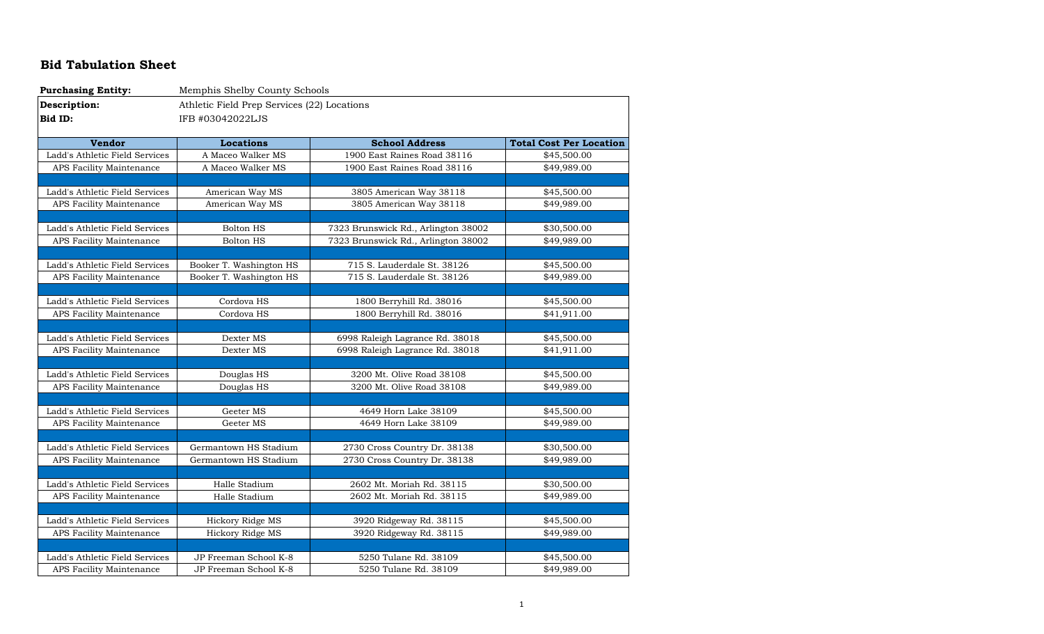## **Bid Tabulation Sheet**

| <b>Purchasing Entity:</b>      | Memphis Shelby County Schools               |                                     |                                |
|--------------------------------|---------------------------------------------|-------------------------------------|--------------------------------|
| Description:                   | Athletic Field Prep Services (22) Locations |                                     |                                |
| Bid ID:                        | IFB #03042022LJS                            |                                     |                                |
|                                |                                             |                                     |                                |
| <b>Vendor</b>                  | <b>Locations</b>                            | <b>School Address</b>               | <b>Total Cost Per Location</b> |
| Ladd's Athletic Field Services | A Maceo Walker MS                           | 1900 East Raines Road 38116         | \$45,500.00                    |
| APS Facility Maintenance       | A Maceo Walker MS                           | 1900 East Raines Road 38116         | \$49,989.00                    |
|                                |                                             |                                     |                                |
| Ladd's Athletic Field Services | American Way MS                             | 3805 American Way 38118             | \$45,500.00                    |
| APS Facility Maintenance       | American Way MS                             | 3805 American Way 38118             | \$49,989.00                    |
|                                |                                             |                                     |                                |
| Ladd's Athletic Field Services | <b>Bolton HS</b>                            | 7323 Brunswick Rd., Arlington 38002 | \$30,500.00                    |
| APS Facility Maintenance       | <b>Bolton HS</b>                            | 7323 Brunswick Rd., Arlington 38002 | \$49,989.00                    |
|                                |                                             |                                     |                                |
| Ladd's Athletic Field Services | Booker T. Washington HS                     | 715 S. Lauderdale St. 38126         | \$45,500.00                    |
| APS Facility Maintenance       | Booker T. Washington HS                     | 715 S. Lauderdale St. 38126         | \$49,989.00                    |
|                                |                                             |                                     |                                |
| Ladd's Athletic Field Services | Cordova HS                                  | 1800 Berryhill Rd. 38016            | \$45,500.00                    |
| APS Facility Maintenance       | Cordova HS                                  | 1800 Berryhill Rd. 38016            | \$41,911.00                    |
|                                |                                             |                                     |                                |
| Ladd's Athletic Field Services | Dexter MS                                   | 6998 Raleigh Lagrance Rd. 38018     | \$45,500.00                    |
| APS Facility Maintenance       | Dexter MS                                   | 6998 Raleigh Lagrance Rd. 38018     | \$41,911.00                    |
|                                |                                             |                                     |                                |
| Ladd's Athletic Field Services | Douglas HS                                  | 3200 Mt. Olive Road 38108           | \$45,500.00                    |
| APS Facility Maintenance       | Douglas HS                                  | 3200 Mt. Olive Road 38108           | \$49,989.00                    |
|                                |                                             |                                     |                                |
| Ladd's Athletic Field Services | Geeter MS                                   | 4649 Horn Lake 38109                | \$45,500.00                    |
| APS Facility Maintenance       | Geeter MS                                   | 4649 Horn Lake 38109                | \$49,989.00                    |
|                                |                                             |                                     |                                |
| Ladd's Athletic Field Services | Germantown HS Stadium                       | 2730 Cross Country Dr. 38138        | \$30,500.00                    |
| APS Facility Maintenance       | Germantown HS Stadium                       | 2730 Cross Country Dr. 38138        | \$49,989.00                    |
|                                |                                             |                                     |                                |
| Ladd's Athletic Field Services | Halle Stadium                               | 2602 Mt. Moriah Rd. 38115           | \$30,500.00                    |
| APS Facility Maintenance       | Halle Stadium                               | 2602 Mt. Moriah Rd. 38115           | \$49,989.00                    |
|                                |                                             |                                     |                                |
| Ladd's Athletic Field Services | Hickory Ridge MS                            | 3920 Ridgeway Rd. 38115             | \$45,500.00                    |
| APS Facility Maintenance       | Hickory Ridge MS                            | 3920 Ridgeway Rd. 38115             | \$49,989.00                    |
|                                |                                             |                                     |                                |
| Ladd's Athletic Field Services | JP Freeman School K-8                       | 5250 Tulane Rd. 38109               | \$45,500.00                    |
| APS Facility Maintenance       | JP Freeman School K-8                       | 5250 Tulane Rd. 38109               | \$49,989.00                    |